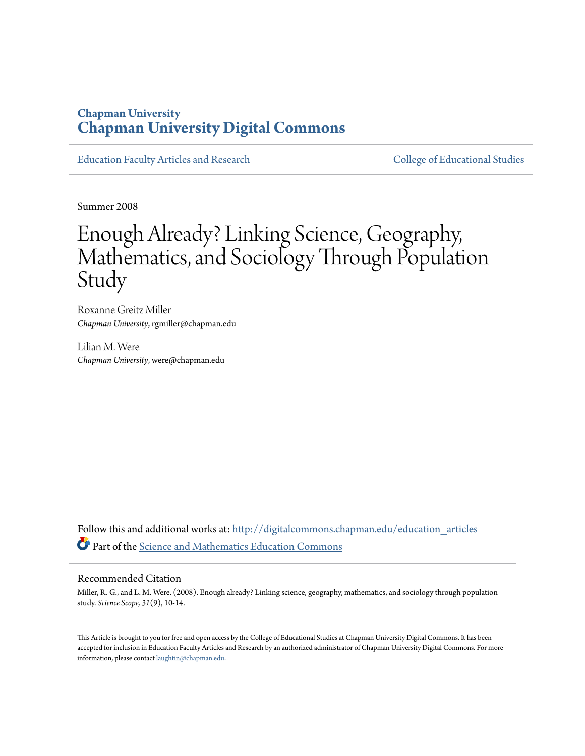#### **Chapman University [Chapman University Digital Commons](http://digitalcommons.chapman.edu?utm_source=digitalcommons.chapman.edu%2Feducation_articles%2F19&utm_medium=PDF&utm_campaign=PDFCoverPages)**

[Education Faculty Articles and Research](http://digitalcommons.chapman.edu/education_articles?utm_source=digitalcommons.chapman.edu%2Feducation_articles%2F19&utm_medium=PDF&utm_campaign=PDFCoverPages) [College of Educational Studies](http://digitalcommons.chapman.edu/ces?utm_source=digitalcommons.chapman.edu%2Feducation_articles%2F19&utm_medium=PDF&utm_campaign=PDFCoverPages)

Summer 2008

### Enough Already? Linking Science, Geography, Mathematics, and Sociology Through Population Study

Roxanne Greitz Miller *Chapman University*, rgmiller@chapman.edu

Lilian M. Were *Chapman University*, were@chapman.edu

Follow this and additional works at: [http://digitalcommons.chapman.edu/education\\_articles](http://digitalcommons.chapman.edu/education_articles?utm_source=digitalcommons.chapman.edu%2Feducation_articles%2F19&utm_medium=PDF&utm_campaign=PDFCoverPages) Part of the [Science and Mathematics Education Commons](http://network.bepress.com/hgg/discipline/800?utm_source=digitalcommons.chapman.edu%2Feducation_articles%2F19&utm_medium=PDF&utm_campaign=PDFCoverPages)

#### Recommended Citation

Miller, R. G., and L. M. Were. (2008). Enough already? Linking science, geography, mathematics, and sociology through population study. *Science Scope, 31*(9), 10-14.

This Article is brought to you for free and open access by the College of Educational Studies at Chapman University Digital Commons. It has been accepted for inclusion in Education Faculty Articles and Research by an authorized administrator of Chapman University Digital Commons. For more information, please contact [laughtin@chapman.edu](mailto:laughtin@chapman.edu).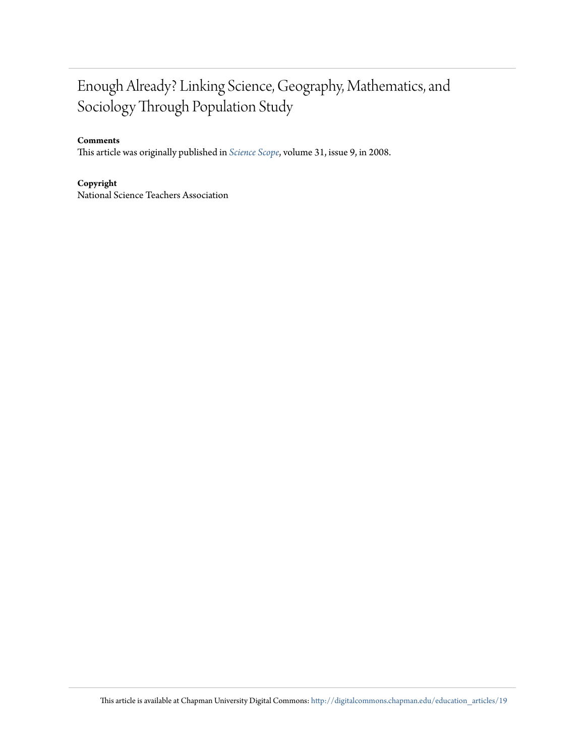### Enough Already? Linking Science, Geography, Mathematics, and Sociology Through Population Study

#### **Comments**

This article was originally published in *[Science Scope](http://www.nsta.org/middleschool/)*, volume 31, issue 9, in 2008.

**Copyright** National Science Teachers Association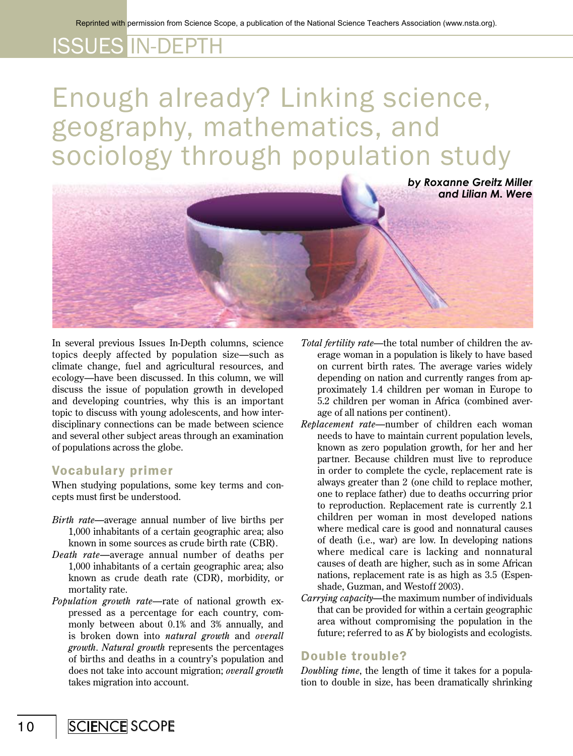# Enough already? Linking science, geography, mathematics, and sociology through population study



In several previous Issues In-Depth columns, science topics deeply affected by population size—such as climate change, fuel and agricultural resources, and ecology—have been discussed. In this column, we will discuss the issue of population growth in developed and developing countries, why this is an important topic to discuss with young adolescents, and how interdisciplinary connections can be made between science and several other subject areas through an examination of populations across the globe.

#### Vocabulary primer

When studying populations, some key terms and concepts must first be understood.

- *Birth rate—*average annual number of live births per 1,000 inhabitants of a certain geographic area; also known in some sources as crude birth rate (CBR).
- *Death rate—*average annual number of deaths per 1,000 inhabitants of a certain geographic area; also known as crude death rate (CDR), morbidity, or mortality rate.
- *Population growth rate*—rate of national growth expressed as a percentage for each country, commonly between about 0.1% and 3% annually, and is broken down into *natural growth* and *overall growth*. *Natural growth* represents the percentages of births and deaths in a country's population and does not take into account migration; *overall growth* takes migration into account.
- *Total fertility rate*—the total number of children the average woman in a population is likely to have based on current birth rates. The average varies widely depending on nation and currently ranges from approximately 1.4 children per woman in Europe to 5.2 children per woman in Africa (combined average of all nations per continent).
- *Replacement rate*—number of children each woman needs to have to maintain current population levels, known as zero population growth, for her and her partner. Because children must live to reproduce in order to complete the cycle, replacement rate is always greater than 2 (one child to replace mother, one to replace father) due to deaths occurring prior to reproduction. Replacement rate is currently 2.1 children per woman in most developed nations where medical care is good and nonnatural causes of death (i.e., war) are low. In developing nations where medical care is lacking and nonnatural causes of death are higher, such as in some African nations, replacement rate is as high as 3.5 (Espenshade, Guzman, and Westoff 2003).
- *Carrying capacity—*the maximum number of individuals that can be provided for within a certain geographic area without compromising the population in the future; referred to as *K* by biologists and ecologists.

#### Double trouble?

*Doubling time*, the length of time it takes for a population to double in size, has been dramatically shrinking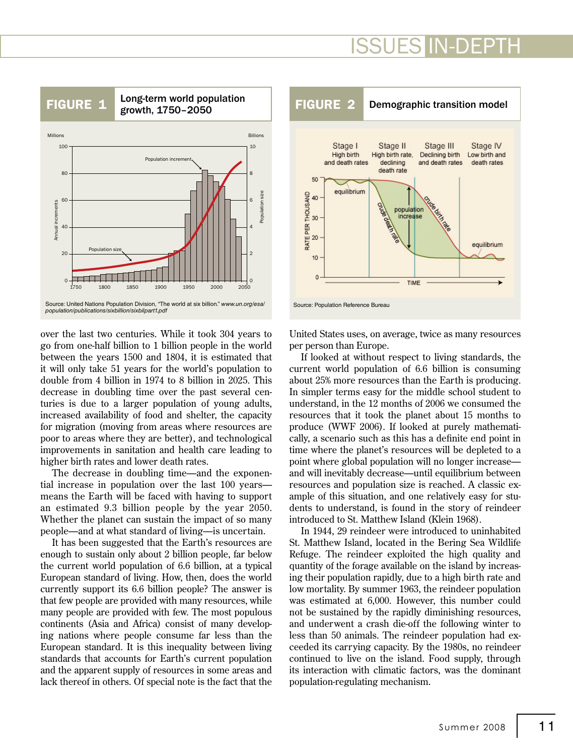

over the last two centuries. While it took 304 years to go from one-half billion to 1 billion people in the world between the years 1500 and 1804, it is estimated that it will only take 51 years for the world's population to double from 4 billion in 1974 to 8 billion in 2025. This decrease in doubling time over the past several centuries is due to a larger population of young adults, increased availability of food and shelter, the capacity for migration (moving from areas where resources are poor to areas where they are better), and technological improvements in sanitation and health care leading to higher birth rates and lower death rates.

The decrease in doubling time—and the exponential increase in population over the last 100 years means the Earth will be faced with having to support an estimated 9.3 billion people by the year 2050. Whether the planet can sustain the impact of so many people—and at what standard of living—is uncertain.

It has been suggested that the Earth's resources are enough to sustain only about 2 billion people, far below the current world population of 6.6 billion, at a typical European standard of living. How, then, does the world currently support its 6.6 billion people? The answer is that few people are provided with many resources, while many people are provided with few. The most populous continents (Asia and Africa) consist of many developing nations where people consume far less than the European standard. It is this inequality between living standards that accounts for Earth's current population and the apparent supply of resources in some areas and lack thereof in others. Of special note is the fact that the



United States uses, on average, twice as many resources per person than Europe.

If looked at without respect to living standards, the current world population of 6.6 billion is consuming about 25% more resources than the Earth is producing. In simpler terms easy for the middle school student to understand, in the 12 months of 2006 we consumed the resources that it took the planet about 15 months to produce (WWF 2006). If looked at purely mathematically, a scenario such as this has a definite end point in time where the planet's resources will be depleted to a point where global population will no longer increase and will inevitably decrease—until equilibrium between resources and population size is reached. A classic example of this situation, and one relatively easy for students to understand, is found in the story of reindeer introduced to St. Matthew Island (Klein 1968).

In 1944, 29 reindeer were introduced to uninhabited St. Matthew Island, located in the Bering Sea Wildlife Refuge. The reindeer exploited the high quality and quantity of the forage available on the island by increasing their population rapidly, due to a high birth rate and low mortality. By summer 1963, the reindeer population was estimated at 6,000. However, this number could not be sustained by the rapidly diminishing resources, and underwent a crash die-off the following winter to less than 50 animals. The reindeer population had exceeded its carrying capacity. By the 1980s, no reindeer continued to live on the island. Food supply, through its interaction with climatic factors, was the dominant population-regulating mechanism.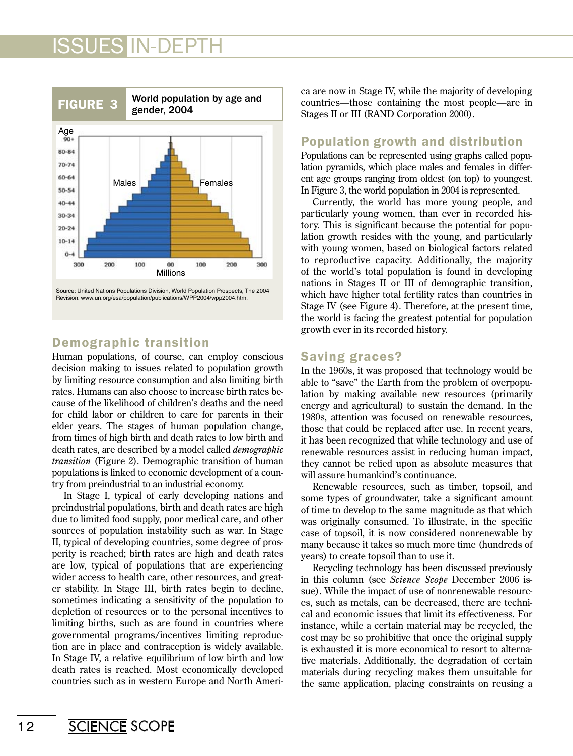

#### Demographic transition

Human populations, of course, can employ conscious decision making to issues related to population growth by limiting resource consumption and also limiting birth rates. Humans can also choose to increase birth rates because of the likelihood of children's deaths and the need for child labor or children to care for parents in their elder years. The stages of human population change, from times of high birth and death rates to low birth and death rates, are described by a model called *demographic transition* (Figure 2). Demographic transition of human populations is linked to economic development of a country from preindustrial to an industrial economy.

In Stage I, typical of early developing nations and preindustrial populations, birth and death rates are high due to limited food supply, poor medical care, and other sources of population instability such as war. In Stage II, typical of developing countries, some degree of prosperity is reached; birth rates are high and death rates are low, typical of populations that are experiencing wider access to health care, other resources, and greater stability. In Stage III, birth rates begin to decline, sometimes indicating a sensitivity of the population to depletion of resources or to the personal incentives to limiting births, such as are found in countries where governmental programs/incentives limiting reproduction are in place and contraception is widely available. In Stage IV, a relative equilibrium of low birth and low death rates is reached. Most economically developed countries such as in western Europe and North America are now in Stage IV, while the majority of developing countries—those containing the most people—are in Stages II or III (RAND Corporation 2000).

#### Population growth and distribution

Populations can be represented using graphs called population pyramids, which place males and females in different age groups ranging from oldest (on top) to youngest. In Figure 3, the world population in 2004 is represented.

Currently, the world has more young people, and particularly young women, than ever in recorded history. This is significant because the potential for population growth resides with the young, and particularly with young women, based on biological factors related to reproductive capacity. Additionally, the majority of the world's total population is found in developing nations in Stages II or III of demographic transition, which have higher total fertility rates than countries in Stage IV (see Figure 4). Therefore, at the present time, the world is facing the greatest potential for population growth ever in its recorded history.

#### Saving graces?

In the 1960s, it was proposed that technology would be able to "save" the Earth from the problem of overpopulation by making available new resources (primarily energy and agricultural) to sustain the demand. In the 1980s, attention was focused on renewable resources, those that could be replaced after use. In recent years, it has been recognized that while technology and use of renewable resources assist in reducing human impact, they cannot be relied upon as absolute measures that will assure humankind's continuance.

Renewable resources, such as timber, topsoil, and some types of groundwater, take a significant amount of time to develop to the same magnitude as that which was originally consumed. To illustrate, in the specific case of topsoil, it is now considered nonrenewable by many because it takes so much more time (hundreds of years) to create topsoil than to use it.

Recycling technology has been discussed previously in this column (see *Science Scope* December 2006 issue). While the impact of use of nonrenewable resources, such as metals, can be decreased, there are technical and economic issues that limit its effectiveness. For instance, while a certain material may be recycled, the cost may be so prohibitive that once the original supply is exhausted it is more economical to resort to alternative materials. Additionally, the degradation of certain materials during recycling makes them unsuitable for the same application, placing constraints on reusing a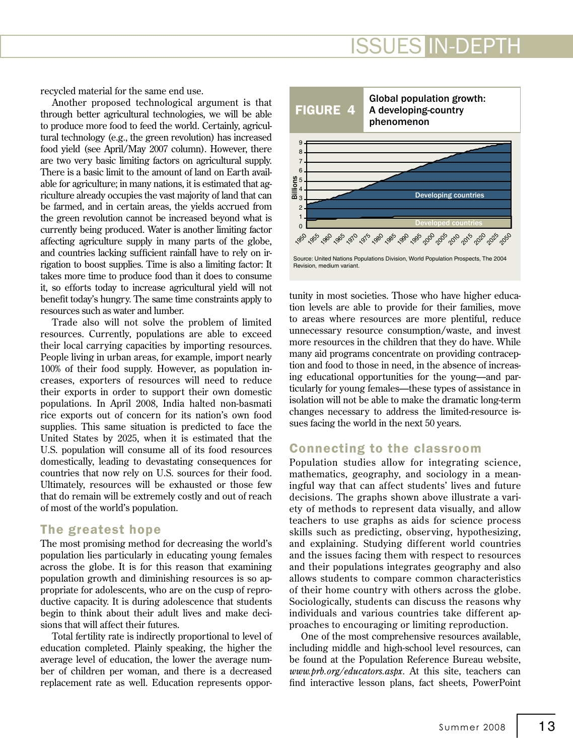recycled material for the same end use.

Another proposed technological argument is that through better agricultural technologies, we will be able to produce more food to feed the world. Certainly, agricultural technology (e.g., the green revolution) has increased food yield (see April/May 2007 column). However, there are two very basic limiting factors on agricultural supply. There is a basic limit to the amount of land on Earth available for agriculture; in many nations, it is estimated that agriculture already occupies the vast majority of land that can be farmed, and in certain areas, the yields accrued from the green revolution cannot be increased beyond what is currently being produced. Water is another limiting factor affecting agriculture supply in many parts of the globe, and countries lacking sufficient rainfall have to rely on irrigation to boost supplies. Time is also a limiting factor: It takes more time to produce food than it does to consume it, so efforts today to increase agricultural yield will not benefit today's hungry. The same time constraints apply to resources such as water and lumber.

Trade also will not solve the problem of limited resources. Currently, populations are able to exceed their local carrying capacities by importing resources. People living in urban areas, for example, import nearly 100% of their food supply. However, as population increases, exporters of resources will need to reduce their exports in order to support their own domestic populations. In April 2008, India halted non-basmati rice exports out of concern for its nation's own food supplies. This same situation is predicted to face the United States by 2025, when it is estimated that the U.S. population will consume all of its food resources domestically, leading to devastating consequences for countries that now rely on U.S. sources for their food. Ultimately, resources will be exhausted or those few that do remain will be extremely costly and out of reach of most of the world's population.

#### The greatest hope

The most promising method for decreasing the world's population lies particularly in educating young females across the globe. It is for this reason that examining population growth and diminishing resources is so appropriate for adolescents, who are on the cusp of reproductive capacity. It is during adolescence that students begin to think about their adult lives and make decisions that will affect their futures.

Total fertility rate is indirectly proportional to level of education completed. Plainly speaking, the higher the average level of education, the lower the average number of children per woman, and there is a decreased replacement rate as well. Education represents oppor-



tunity in most societies. Those who have higher education levels are able to provide for their families, move to areas where resources are more plentiful, reduce unnecessary resource consumption/waste, and invest more resources in the children that they do have. While many aid programs concentrate on providing contraception and food to those in need, in the absence of increasing educational opportunities for the young—and particularly for young females—these types of assistance in isolation will not be able to make the dramatic long-term changes necessary to address the limited-resource issues facing the world in the next 50 years.

#### Connecting to the classroom

Population studies allow for integrating science, mathematics, geography, and sociology in a meaningful way that can affect students' lives and future decisions. The graphs shown above illustrate a variety of methods to represent data visually, and allow teachers to use graphs as aids for science process skills such as predicting, observing, hypothesizing, and explaining. Studying different world countries and the issues facing them with respect to resources and their populations integrates geography and also allows students to compare common characteristics of their home country with others across the globe. Sociologically, students can discuss the reasons why individuals and various countries take different approaches to encouraging or limiting reproduction.

One of the most comprehensive resources available, including middle and high-school level resources, can be found at the Population Reference Bureau website, *www.prb.org/educators.aspx*. At this site, teachers can find interactive lesson plans, fact sheets, PowerPoint